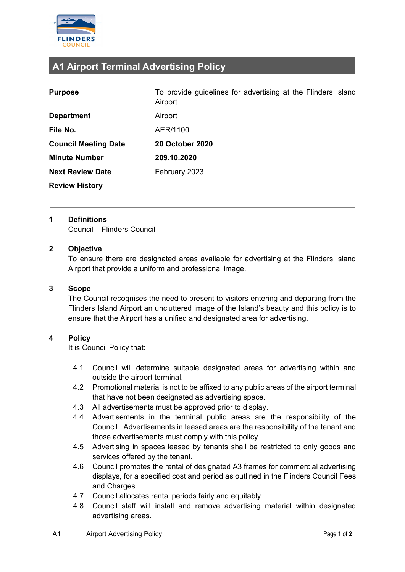

# **A1 Airport Terminal Advertising Policy**

| <b>Purpose</b>              | To provide guidelines for advertising at the Flinders Island<br>Airport. |
|-----------------------------|--------------------------------------------------------------------------|
| <b>Department</b>           | Airport                                                                  |
| File No.                    | AER/1100                                                                 |
| <b>Council Meeting Date</b> | <b>20 October 2020</b>                                                   |
| <b>Minute Number</b>        | 209.10.2020                                                              |
| <b>Next Review Date</b>     | February 2023                                                            |
| <b>Review History</b>       |                                                                          |

### **1 Definitions**

Council – Flinders Council

## **2 Objective**

To ensure there are designated areas available for advertising at the Flinders Island Airport that provide a uniform and professional image.

#### **3 Scope**

The Council recognises the need to present to visitors entering and departing from the Flinders Island Airport an uncluttered image of the Island's beauty and this policy is to ensure that the Airport has a unified and designated area for advertising.

## **4 Policy**

It is Council Policy that:

- 4.1 Council will determine suitable designated areas for advertising within and outside the airport terminal.
- 4.2 Promotional material is not to be affixed to any public areas of the airport terminal that have not been designated as advertising space.
- 4.3 All advertisements must be approved prior to display.
- 4.4 Advertisements in the terminal public areas are the responsibility of the Council. Advertisements in leased areas are the responsibility of the tenant and those advertisements must comply with this policy.
- 4.5 Advertising in spaces leased by tenants shall be restricted to only goods and services offered by the tenant.
- 4.6 Council promotes the rental of designated A3 frames for commercial advertising displays, for a specified cost and period as outlined in the Flinders Council Fees and Charges.
- 4.7 Council allocates rental periods fairly and equitably.
- 4.8 Council staff will install and remove advertising material within designated advertising areas.